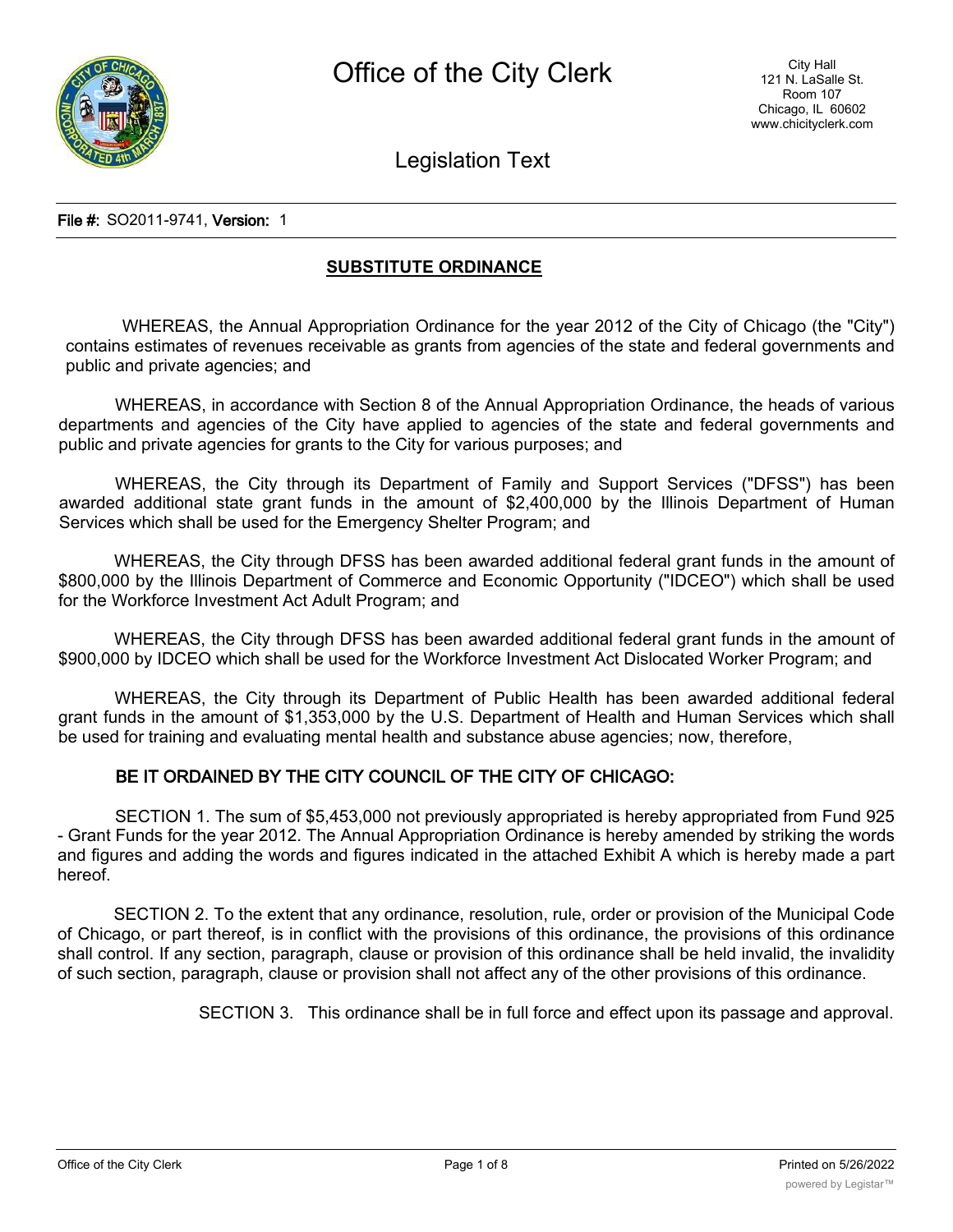

Legislation Text

#### File #: SO2011-9741, Version: 1

### **SUBSTITUTE ORDINANCE**

WHEREAS, the Annual Appropriation Ordinance for the year 2012 of the City of Chicago (the "City") contains estimates of revenues receivable as grants from agencies of the state and federal governments and public and private agencies; and

WHEREAS, in accordance with Section 8 of the Annual Appropriation Ordinance, the heads of various departments and agencies of the City have applied to agencies of the state and federal governments and public and private agencies for grants to the City for various purposes; and

WHEREAS, the City through its Department of Family and Support Services ("DFSS") has been awarded additional state grant funds in the amount of \$2,400,000 by the Illinois Department of Human Services which shall be used for the Emergency Shelter Program; and

WHEREAS, the City through DFSS has been awarded additional federal grant funds in the amount of \$800,000 by the Illinois Department of Commerce and Economic Opportunity ("IDCEO") which shall be used for the Workforce Investment Act Adult Program; and

WHEREAS, the City through DFSS has been awarded additional federal grant funds in the amount of \$900,000 by IDCEO which shall be used for the Workforce Investment Act Dislocated Worker Program; and

WHEREAS, the City through its Department of Public Health has been awarded additional federal grant funds in the amount of \$1,353,000 by the U.S. Department of Health and Human Services which shall be used for training and evaluating mental health and substance abuse agencies; now, therefore,

### BE IT ORDAINED BY THE CITY COUNCIL OF THE CITY OF CHICAGO:

SECTION 1. The sum of \$5,453,000 not previously appropriated is hereby appropriated from Fund 925 - Grant Funds for the year 2012. The Annual Appropriation Ordinance is hereby amended by striking the words and figures and adding the words and figures indicated in the attached Exhibit A which is hereby made a part hereof.

SECTION 2. To the extent that any ordinance, resolution, rule, order or provision of the Municipal Code of Chicago, or part thereof, is in conflict with the provisions of this ordinance, the provisions of this ordinance shall control. If any section, paragraph, clause or provision of this ordinance shall be held invalid, the invalidity of such section, paragraph, clause or provision shall not affect any of the other provisions of this ordinance.

SECTION 3. This ordinance shall be in full force and effect upon its passage and approval.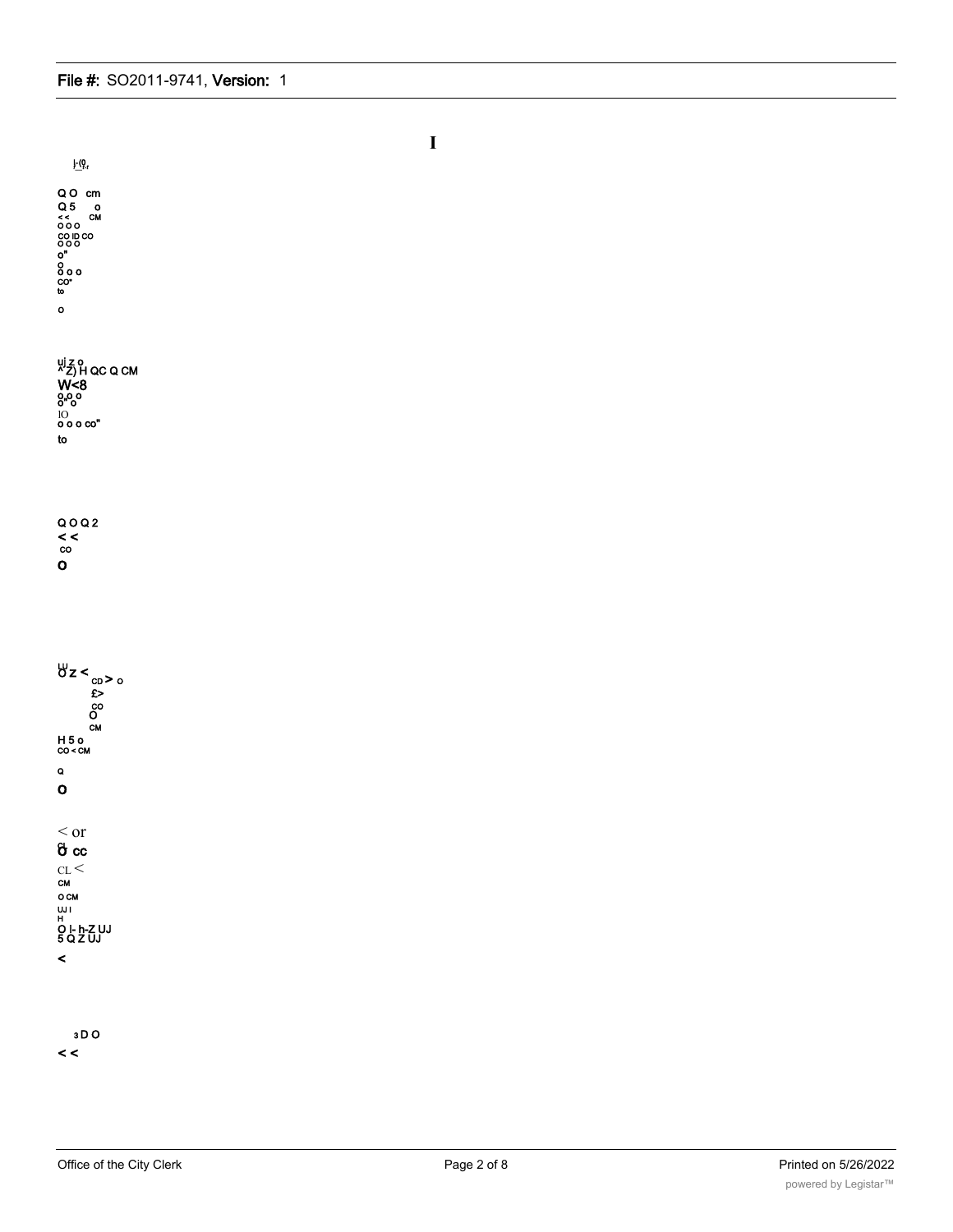|                                                                                                        |  | $\mathbf I$ |  |
|--------------------------------------------------------------------------------------------------------|--|-------------|--|
| $\underline{\mathsf{F}}\xspace(\mathsf{Q}_t$                                                           |  |             |  |
| $\mathbf{o}$                                                                                           |  |             |  |
| <u>ui z</u> o<br>W<8<br>0∨<8<br>გიგი<br>აი<br>აი დ"<br>$\mathop{\mathrm{to}}$                          |  |             |  |
| $0002$<br>$00$<br>$00$<br>$\mathbf 0$                                                                  |  |             |  |
| $\mathcal{B}z <$ <sub>cp</sub> > o<br>$rac{6}{6}$<br>CM<br>$H50\nCO5CM$<br>$\mathbf{o}$<br>$\mathbf 0$ |  |             |  |
| $<$ or<br>$\theta$ cc<br>$_{\mathrm{CM}}^{\mathrm{CL}}$ $<$<br>$O$ CM<br>$\,<$                         |  |             |  |
| $\sqrt{3}$ D O<br>$\lt$                                                                                |  |             |  |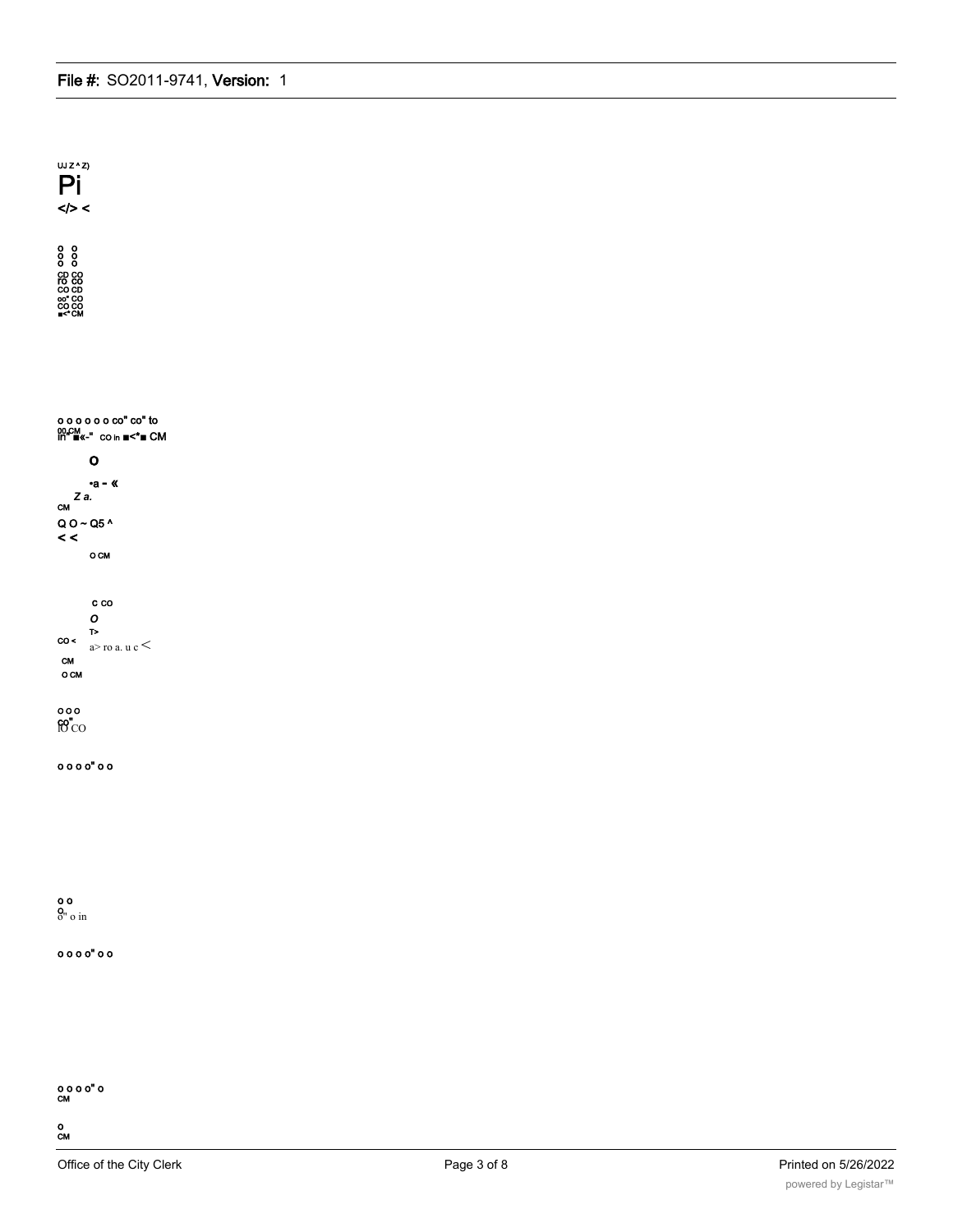

# 0000"0<br>CM

## $\frac{0}{C}$ M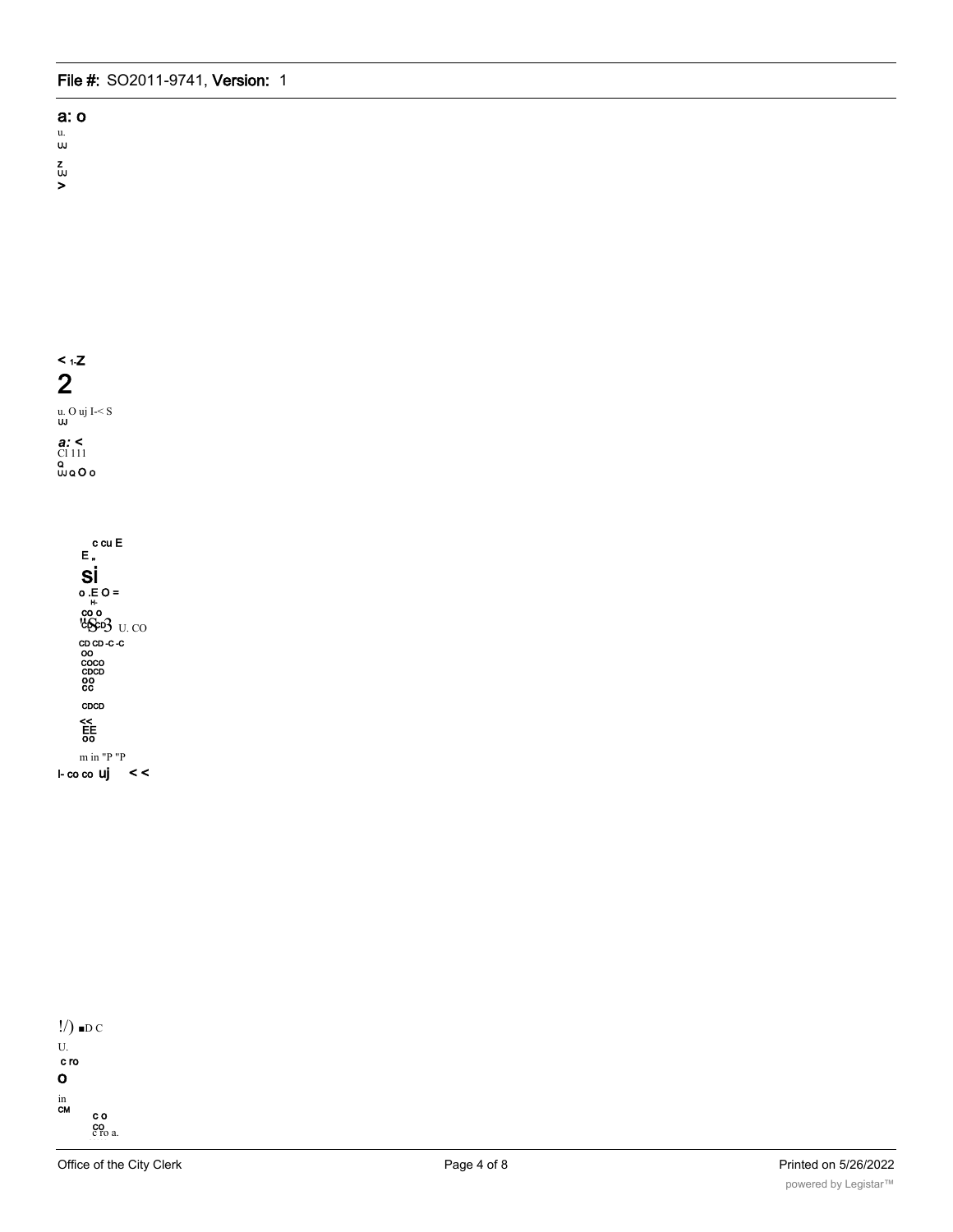### File #: SO2011-9741, Version: 1

 $a$ :  $o$  $\mathbf{u}.$ 

 $\bar{\mathbf{u}}$ 

 $\sum_{k=1}^{N}$ 

 $<sub>1</sub>Z$ </sub>  $\overline{2}$ u. O uj I < S<br>W

a:  $\frac{C[111]}{C[111]}$ <br>we00



 $!$  ()  $\blacksquare$  D C U. c ro  $\mathbf{o}$  $\frac{\text{in}}{\text{cm}}$  $\mathbf{c}$  o  $_{c}^{\text{co}}$  ro a.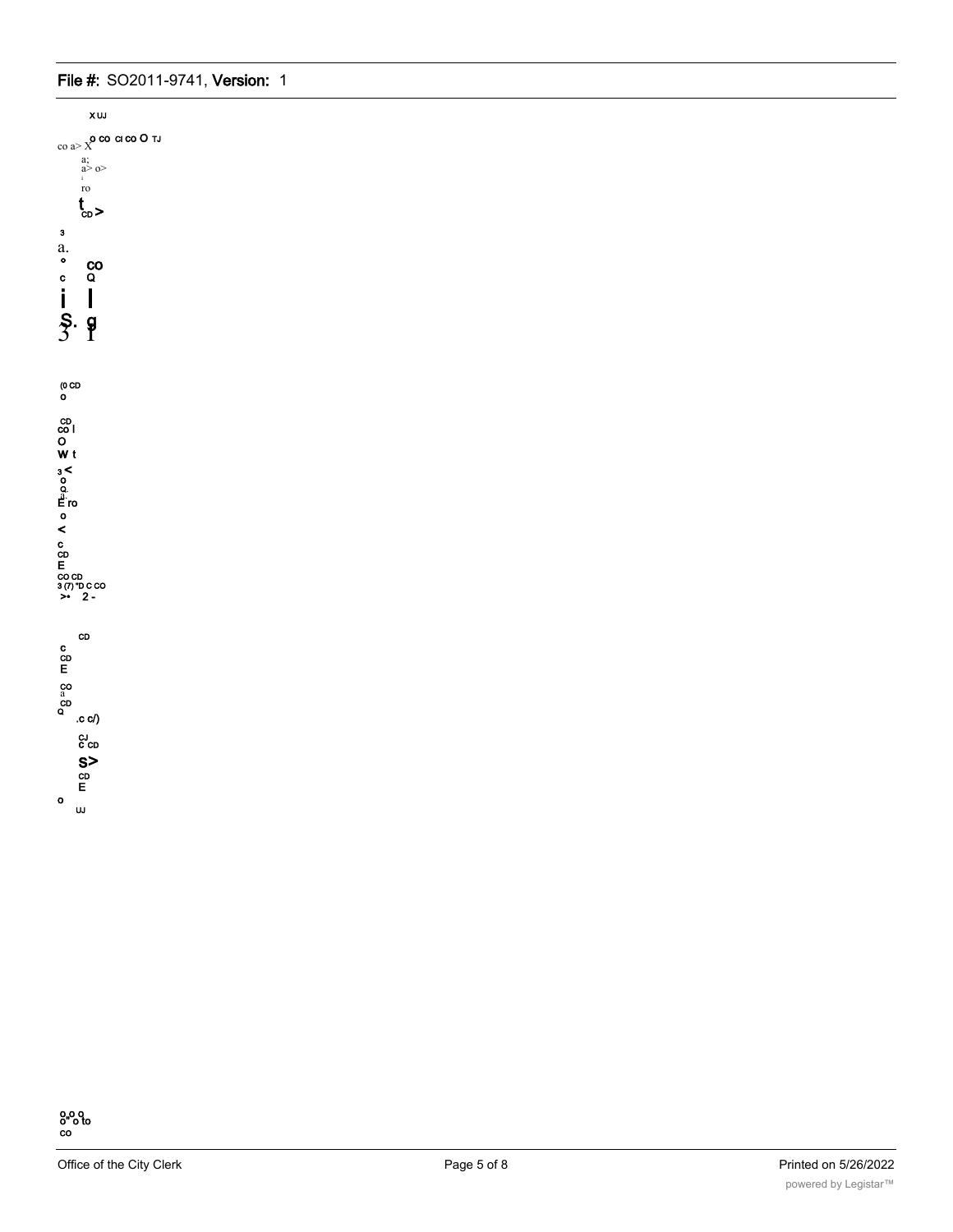### File #: SO2011-9741, Version: 1

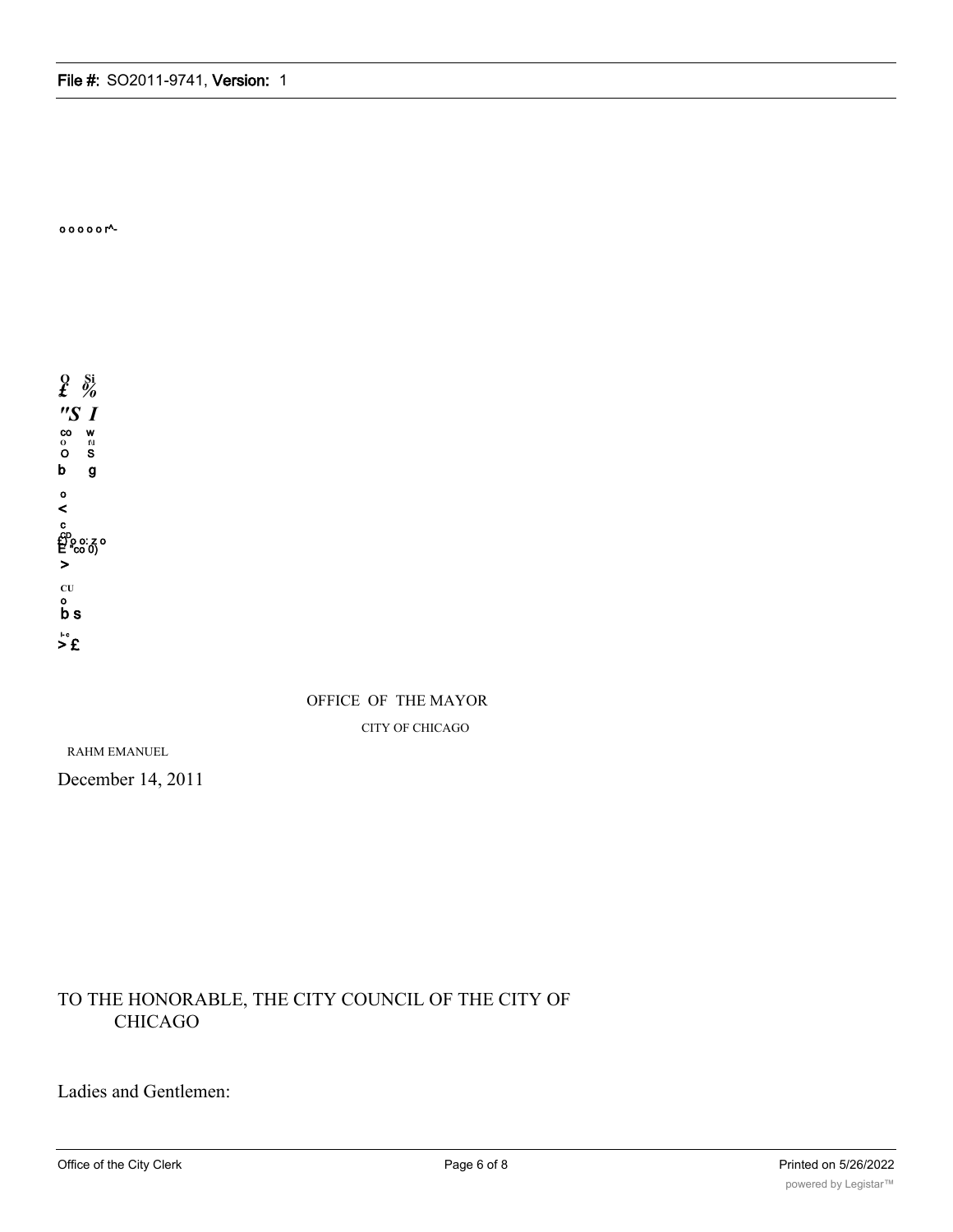**O Si** *£ % "S I* co w **O f\l** O S b g o  $\prec$ c<br>ဥာ၀: z ၀<br>E "co 0) > cu<br>o<br>**b s**  $\mathring{\mathcal{F}}$ £

o o o o o r^-

OFFICE OF THE MAYOR

CITY OF CHICAGO

RAHM EMANUEL

December 14, 2011

### TO THE HONORABLE, THE CITY COUNCIL OF THE CITY OF CHICAGO

Ladies and Gentlemen: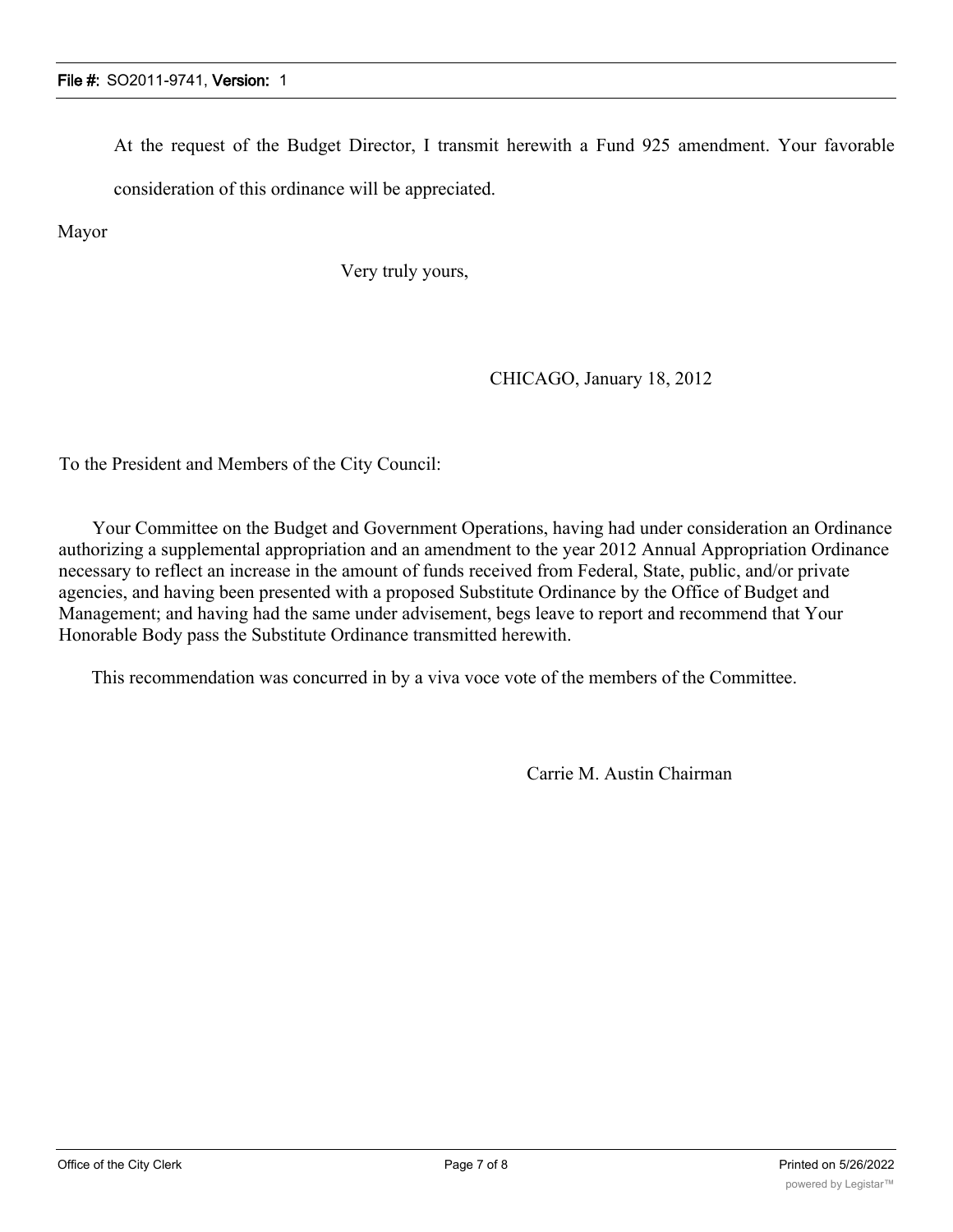At the request of the Budget Director, I transmit herewith a Fund 925 amendment. Your favorable consideration of this ordinance will be appreciated.

Mayor

Very truly yours,

CHICAGO, January 18, 2012

To the President and Members of the City Council:

Your Committee on the Budget and Government Operations, having had under consideration an Ordinance authorizing a supplemental appropriation and an amendment to the year 2012 Annual Appropriation Ordinance necessary to reflect an increase in the amount of funds received from Federal, State, public, and/or private agencies, and having been presented with a proposed Substitute Ordinance by the Office of Budget and Management; and having had the same under advisement, begs leave to report and recommend that Your Honorable Body pass the Substitute Ordinance transmitted herewith.

This recommendation was concurred in by a viva voce vote of the members of the Committee.

Carrie M. Austin Chairman